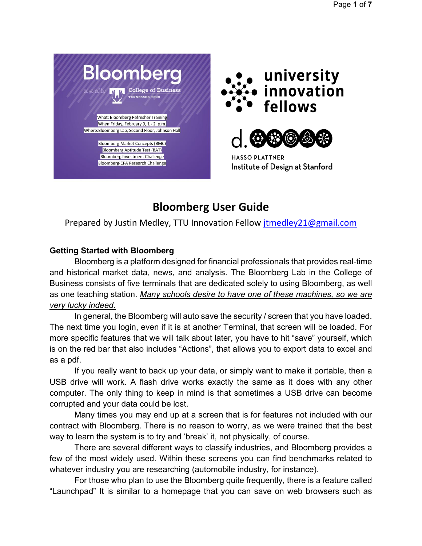





**HASSO PLATTNER** Institute of Design at Stanford

# **Bloomberg User Guide**

Prepared by Justin Medley, TTU Innovation Fellow *itmedley21@gmail.com* 

# **Getting Started with Bloomberg**

Bloomberg is a platform designed for financial professionals that provides real-time and historical market data, news, and analysis. The Bloomberg Lab in the College of Business consists of five terminals that are dedicated solely to using Bloomberg, as well as one teaching station. *Many schools desire to have one of these machines, so we are very lucky indeed.*

In general, the Bloomberg will auto save the security / screen that you have loaded. The next time you login, even if it is at another Terminal, that screen will be loaded. For more specific features that we will talk about later, you have to hit "save" yourself, which is on the red bar that also includes "Actions", that allows you to export data to excel and as a pdf.

If you really want to back up your data, or simply want to make it portable, then a USB drive will work. A flash drive works exactly the same as it does with any other computer. The only thing to keep in mind is that sometimes a USB drive can become corrupted and your data could be lost.

Many times you may end up at a screen that is for features not included with our contract with Bloomberg. There is no reason to worry, as we were trained that the best way to learn the system is to try and 'break' it, not physically, of course.

There are several different ways to classify industries, and Bloomberg provides a few of the most widely used. Within these screens you can find benchmarks related to whatever industry you are researching (automobile industry, for instance).

For those who plan to use the Bloomberg quite frequently, there is a feature called "Launchpad" It is similar to a homepage that you can save on web browsers such as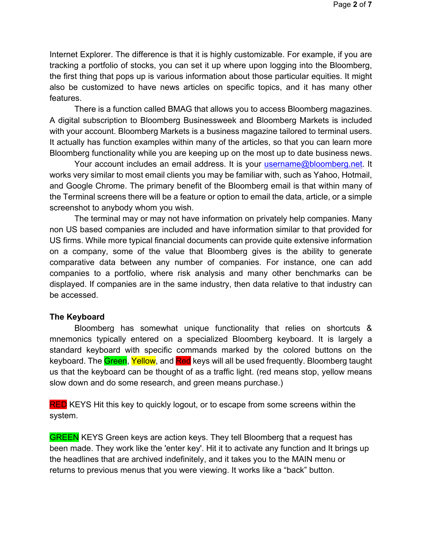Internet Explorer. The difference is that it is highly customizable. For example, if you are tracking a portfolio of stocks, you can set it up where upon logging into the Bloomberg, the first thing that pops up is various information about those particular equities. It might also be customized to have news articles on specific topics, and it has many other features.

There is a function called BMAG that allows you to access Bloomberg magazines. A digital subscription to Bloomberg Businessweek and Bloomberg Markets is included with your account. Bloomberg Markets is a business magazine tailored to terminal users. It actually has function examples within many of the articles, so that you can learn more Bloomberg functionality while you are keeping up on the most up to date business news.

Your account includes an email address. It is your [username@bloomberg.net.](mailto:username@bloomberg.net) It works very similar to most email clients you may be familiar with, such as Yahoo, Hotmail, and Google Chrome. The primary benefit of the Bloomberg email is that within many of the Terminal screens there will be a feature or option to email the data, article, or a simple screenshot to anybody whom you wish.

The terminal may or may not have information on privately help companies. Many non US based companies are included and have information similar to that provided for US firms. While more typical financial documents can provide quite extensive information on a company, some of the value that Bloomberg gives is the ability to generate comparative data between any number of companies. For instance, one can add companies to a portfolio, where risk analysis and many other benchmarks can be displayed. If companies are in the same industry, then data relative to that industry can be accessed.

#### **The Keyboard**

Bloomberg has somewhat unique functionality that relies on shortcuts & mnemonics typically entered on a specialized Bloomberg keyboard. It is largely a standard keyboard with specific commands marked by the colored buttons on the keyboard. The Green, Yellow, and Red keys will all be used frequently. Bloomberg taught us that the keyboard can be thought of as a traffic light. (red means stop, yellow means slow down and do some research, and green means purchase.)

**RED** KEYS Hit this key to quickly logout, or to escape from some screens within the system.

**GREEN** KEYS Green keys are action keys. They tell Bloomberg that a request has been made. They work like the 'enter key'. Hit it to activate any function and It brings up the headlines that are archived indefinitely, and it takes you to the MAIN menu or returns to previous menus that you were viewing. It works like a "back" button.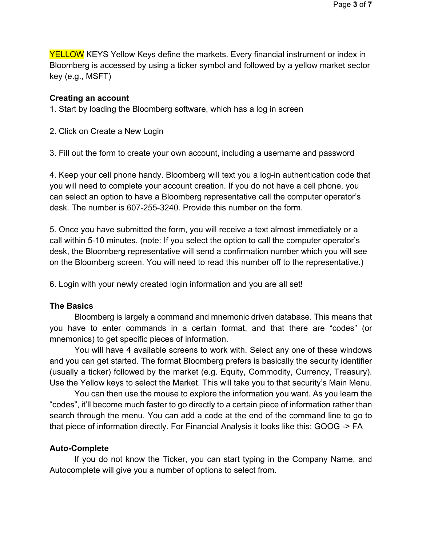YELLOW KEYS Yellow Keys define the markets. Every financial instrument or index in Bloomberg is accessed by using a ticker symbol and followed by a yellow market sector key (e.g., MSFT)

#### **Creating an account**

1. Start by loading the Bloomberg software, which has a log in screen

2. Click on Create a New Login

3. Fill out the form to create your own account, including a username and password

4. Keep your cell phone handy. Bloomberg will text you a log-in authentication code that you will need to complete your account creation. If you do not have a cell phone, you can select an option to have a Bloomberg representative call the computer operator's desk. The number is 607-255-3240. Provide this number on the form.

5. Once you have submitted the form, you will receive a text almost immediately or a call within 5-10 minutes. (note: If you select the option to call the computer operator's desk, the Bloomberg representative will send a confirmation number which you will see on the Bloomberg screen. You will need to read this number off to the representative.)

6. Login with your newly created login information and you are all set!

#### **The Basics**

Bloomberg is largely a command and mnemonic driven database. This means that you have to enter commands in a certain format, and that there are "codes" (or mnemonics) to get specific pieces of information.

You will have 4 available screens to work with. Select any one of these windows and you can get started. The format Bloomberg prefers is basically the security identifier (usually a ticker) followed by the market (e.g. Equity, Commodity, Currency, Treasury). Use the Yellow keys to select the Market. This will take you to that security's Main Menu.

You can then use the mouse to explore the information you want. As you learn the "codes", it'll become much faster to go directly to a certain piece of information rather than search through the menu. You can add a code at the end of the command line to go to that piece of information directly. For Financial Analysis it looks like this: GOOG -> FA

#### **Auto-Complete**

If you do not know the Ticker, you can start typing in the Company Name, and Autocomplete will give you a number of options to select from.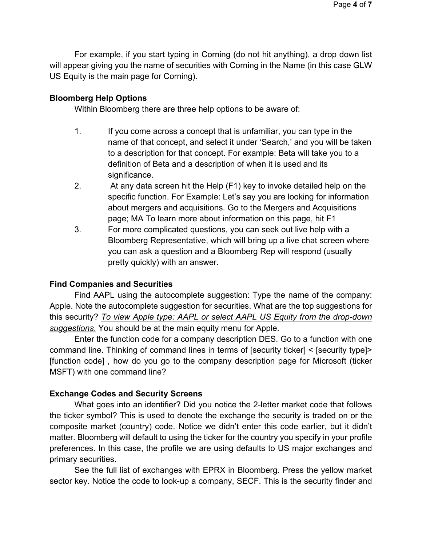For example, if you start typing in Corning (do not hit anything), a drop down list will appear giving you the name of securities with Corning in the Name (in this case GLW US Equity is the main page for Corning).

## **Bloomberg Help Options**

Within Bloomberg there are three help options to be aware of:

- 1. If you come across a concept that is unfamiliar, you can type in the name of that concept, and select it under 'Search,' and you will be taken to a description for that concept. For example: Beta will take you to a definition of Beta and a description of when it is used and its significance.
- 2. At any data screen hit the Help (F1) key to invoke detailed help on the specific function. For Example: Let's say you are looking for information about mergers and acquisitions. Go to the Mergers and Acquisitions page; MA To learn more about information on this page, hit F1
- 3. For more complicated questions, you can seek out live help with a Bloomberg Representative, which will bring up a live chat screen where you can ask a question and a Bloomberg Rep will respond (usually pretty quickly) with an answer.

# **Find Companies and Securities**

Find AAPL using the autocomplete suggestion: Type the name of the company: Apple. Note the autocomplete suggestion for securities. What are the top suggestions for this security? *To view Apple type: AAPL or select AAPL US Equity from the drop-down suggestions*. You should be at the main equity menu for Apple.

Enter the function code for a company description DES. Go to a function with one command line. Thinking of command lines in terms of [security ticker] < [security type]> [function code] , how do you go to the company description page for Microsoft (ticker MSFT) with one command line?

#### **Exchange Codes and Security Screens**

What goes into an identifier? Did you notice the 2-letter market code that follows the ticker symbol? This is used to denote the exchange the security is traded on or the composite market (country) code. Notice we didn't enter this code earlier, but it didn't matter. Bloomberg will default to using the ticker for the country you specify in your profile preferences. In this case, the profile we are using defaults to US major exchanges and primary securities.

See the full list of exchanges with EPRX in Bloomberg. Press the yellow market sector key. Notice the code to look-up a company, SECF. This is the security finder and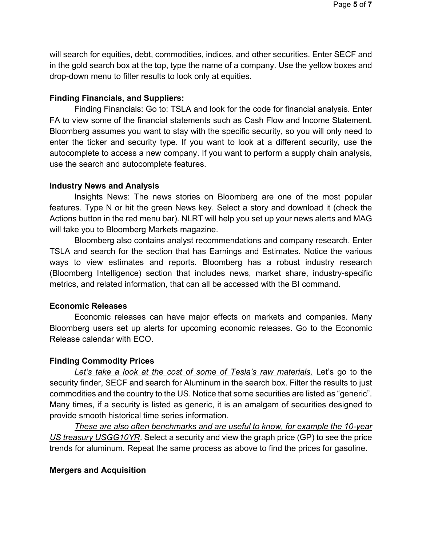will search for equities, debt, commodities, indices, and other securities. Enter SECF and in the gold search box at the top, type the name of a company. Use the yellow boxes and drop-down menu to filter results to look only at equities.

## **Finding Financials, and Suppliers:**

Finding Financials: Go to: TSLA and look for the code for financial analysis. Enter FA to view some of the financial statements such as Cash Flow and Income Statement. Bloomberg assumes you want to stay with the specific security, so you will only need to enter the ticker and security type. If you want to look at a different security, use the autocomplete to access a new company. If you want to perform a supply chain analysis, use the search and autocomplete features.

#### **Industry News and Analysis**

Insights News: The news stories on Bloomberg are one of the most popular features. Type N or hit the green News key. Select a story and download it (check the Actions button in the red menu bar). NLRT will help you set up your news alerts and MAG will take you to Bloomberg Markets magazine.

Bloomberg also contains analyst recommendations and company research. Enter TSLA and search for the section that has Earnings and Estimates. Notice the various ways to view estimates and reports. Bloomberg has a robust industry research (Bloomberg Intelligence) section that includes news, market share, industry-specific metrics, and related information, that can all be accessed with the BI command.

# **Economic Releases**

Economic releases can have major effects on markets and companies. Many Bloomberg users set up alerts for upcoming economic releases. Go to the Economic Release calendar with ECO.

# **Finding Commodity Prices**

*Let's take a look at the cost of some of Tesla's raw materials*. Let's go to the security finder, SECF and search for Aluminum in the search box. Filter the results to just commodities and the country to the US. Notice that some securities are listed as "generic". Many times, if a security is listed as generic, it is an amalgam of securities designed to provide smooth historical time series information.

*These are also often benchmarks and are useful to know, for example the 10-year US treasury USGG10YR*. Select a security and view the graph price (GP) to see the price trends for aluminum. Repeat the same process as above to find the prices for gasoline.

#### **Mergers and Acquisition**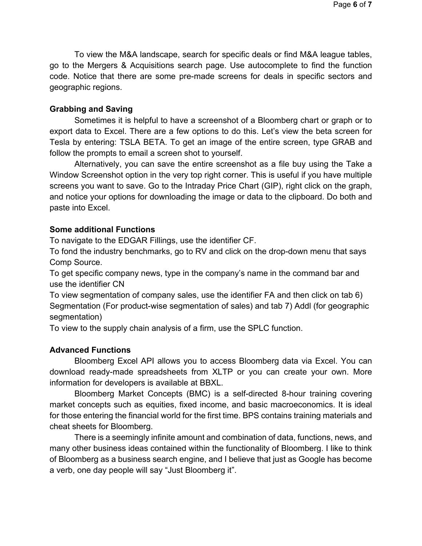To view the M&A landscape, search for specific deals or find M&A league tables, go to the Mergers & Acquisitions search page. Use autocomplete to find the function code. Notice that there are some pre-made screens for deals in specific sectors and geographic regions.

## **Grabbing and Saving**

Sometimes it is helpful to have a screenshot of a Bloomberg chart or graph or to export data to Excel. There are a few options to do this. Let's view the beta screen for Tesla by entering: TSLA BETA. To get an image of the entire screen, type GRAB and follow the prompts to email a screen shot to yourself.

Alternatively, you can save the entire screenshot as a file buy using the Take a Window Screenshot option in the very top right corner. This is useful if you have multiple screens you want to save. Go to the Intraday Price Chart (GIP), right click on the graph, and notice your options for downloading the image or data to the clipboard. Do both and paste into Excel.

## **Some additional Functions**

To navigate to the EDGAR Fillings, use the identifier CF.

To fond the industry benchmarks, go to RV and click on the drop-down menu that says Comp Source.

To get specific company news, type in the company's name in the command bar and use the identifier CN

To view segmentation of company sales, use the identifier FA and then click on tab 6) Segmentation (For product-wise segmentation of sales) and tab 7) Addl (for geographic segmentation)

To view to the supply chain analysis of a firm, use the SPLC function.

# **Advanced Functions**

Bloomberg Excel API allows you to access Bloomberg data via Excel. You can download ready-made spreadsheets from XLTP or you can create your own. More information for developers is available at BBXL.

Bloomberg Market Concepts (BMC) is a self-directed 8-hour training covering market concepts such as equities, fixed income, and basic macroeconomics. It is ideal for those entering the financial world for the first time. BPS contains training materials and cheat sheets for Bloomberg.

There is a seemingly infinite amount and combination of data, functions, news, and many other business ideas contained within the functionality of Bloomberg. I like to think of Bloomberg as a business search engine, and I believe that just as Google has become a verb, one day people will say "Just Bloomberg it".